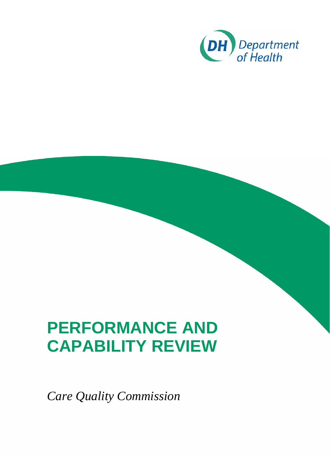

*Care Quality Commission*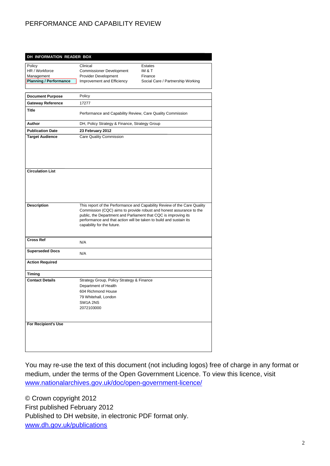|                               | DH INFORMATION READER BOX                                                                                                                                                                                                                                                                                              |                                   |
|-------------------------------|------------------------------------------------------------------------------------------------------------------------------------------------------------------------------------------------------------------------------------------------------------------------------------------------------------------------|-----------------------------------|
| Policy                        | Clinical                                                                                                                                                                                                                                                                                                               | Estates                           |
| HR / Workforce                | <b>Commissioner Development</b>                                                                                                                                                                                                                                                                                        | IM & T                            |
| Management                    | Provider Development                                                                                                                                                                                                                                                                                                   | Finance                           |
| <b>Planning / Performance</b> | Improvement and Efficiency                                                                                                                                                                                                                                                                                             | Social Care / Partnership Working |
| <b>Document Purpose</b>       | Policy                                                                                                                                                                                                                                                                                                                 |                                   |
| <b>Gateway Reference</b>      | 17277                                                                                                                                                                                                                                                                                                                  |                                   |
| Title                         | Performance and Capability Review, Care Quality Commission                                                                                                                                                                                                                                                             |                                   |
| Author                        | DH, Policy Strategy & Finance, Strategy Group                                                                                                                                                                                                                                                                          |                                   |
| <b>Publication Date</b>       | 23 February 2012                                                                                                                                                                                                                                                                                                       |                                   |
| <b>Target Audience</b>        | Care Quality Commission                                                                                                                                                                                                                                                                                                |                                   |
| <b>Circulation List</b>       |                                                                                                                                                                                                                                                                                                                        |                                   |
| <b>Description</b>            | This report of the Performance and Capability Review of the Care Quality<br>Commission (CQC) aims to provide robust and honest assurance to the<br>public, the Department and Parliament that CQC is improving its<br>performance and that action will be taken to build and sustain its<br>capability for the future. |                                   |
| <b>Cross Ref</b>              | N/A                                                                                                                                                                                                                                                                                                                    |                                   |
| <b>Superseded Docs</b>        | N/A                                                                                                                                                                                                                                                                                                                    |                                   |
| <b>Action Required</b>        |                                                                                                                                                                                                                                                                                                                        |                                   |
| <b>Timing</b>                 |                                                                                                                                                                                                                                                                                                                        |                                   |
| <b>Contact Details</b>        | Strategy Group, Policy Strategy & Finance<br>Department of Health<br>604 Richmond House<br>79 Whitehall, London<br>SW1A 2NS<br>2072103000                                                                                                                                                                              |                                   |
|                               |                                                                                                                                                                                                                                                                                                                        |                                   |

You may re-use the text of this document (not including logos) free of charge in any format or medium, under the terms of the Open Government Licence. To view this licence, visit www.nationalarchives.gov.uk/doc/open-government-licence/

© Crown copyright 2012 First published February 2012 Published to DH website, in electronic PDF format only. www.dh.gov.uk/publications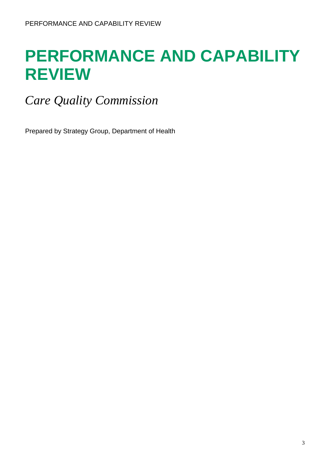*Care Quality Commission* 

Prepared by Strategy Group, Department of Health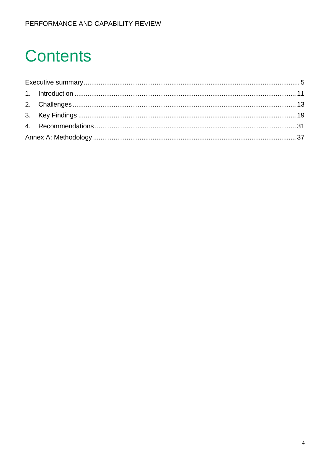# **Contents**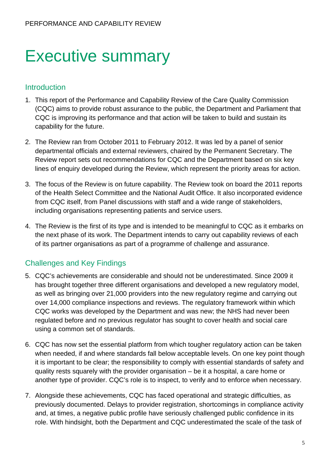# Executive summary

### Introduction

- 1. This report of the Performance and Capability Review of the Care Quality Commission (CQC) aims to provide robust assurance to the public, the Department and Parliament that CQC is improving its performance and that action will be taken to build and sustain its capability for the future.
- 2. The Review ran from October 2011 to February 2012. It was led by a panel of senior departmental officials and external reviewers, chaired by the Permanent Secretary. The Review report sets out recommendations for CQC and the Department based on six key lines of enquiry developed during the Review, which represent the priority areas for action.
- 3. The focus of the Review is on future capability. The Review took on board the 2011 reports of the Health Select Committee and the National Audit Office. It also incorporated evidence from CQC itself, from Panel discussions with staff and a wide range of stakeholders, including organisations representing patients and service users.
- 4. The Review is the first of its type and is intended to be meaningful to CQC as it embarks on the next phase of its work. The Department intends to carry out capability reviews of each of its partner organisations as part of a programme of challenge and assurance.

# Challenges and Key Findings

- 5. CQC's achievements are considerable and should not be underestimated. Since 2009 it has brought together three different organisations and developed a new regulatory model, as well as bringing over 21,000 providers into the new regulatory regime and carrying out over 14,000 compliance inspections and reviews. The regulatory framework within which CQC works was developed by the Department and was new; the NHS had never been regulated before and no previous regulator has sought to cover health and social care using a common set of standards.
- 6. CQC has now set the essential platform from which tougher regulatory action can be taken when needed, if and where standards fall below acceptable levels. On one key point though it is important to be clear; the responsibility to comply with essential standards of safety and quality rests squarely with the provider organisation – be it a hospital, a care home or another type of provider. CQC's role is to inspect, to verify and to enforce when necessary.
- 7. Alongside these achievements, CQC has faced operational and strategic difficulties, as previously documented. Delays to provider registration, shortcomings in compliance activity and, at times, a negative public profile have seriously challenged public confidence in its role. With hindsight, both the Department and CQC underestimated the scale of the task of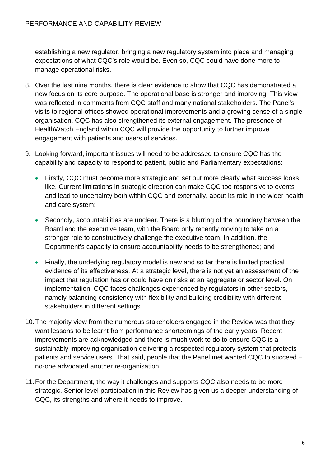establishing a new regulator, bringing a new regulatory system into place and managing expectations of what CQC's role would be. Even so, CQC could have done more to manage operational risks.

- 8. Over the last nine months, there is clear evidence to show that CQC has demonstrated a new focus on its core purpose. The operational base is stronger and improving. This view was reflected in comments from CQC staff and many national stakeholders. The Panel's visits to regional offices showed operational improvements and a growing sense of a single organisation. CQC has also strengthened its external engagement. The presence of HealthWatch England within CQC will provide the opportunity to further improve engagement with patients and users of services.
- 9. Looking forward, important issues will need to be addressed to ensure CQC has the capability and capacity to respond to patient, public and Parliamentary expectations:
	- Firstly, CQC must become more strategic and set out more clearly what success looks like. Current limitations in strategic direction can make CQC too responsive to events and lead to uncertainty both within CQC and externally, about its role in the wider health and care system;
	- Secondly, accountabilities are unclear. There is a blurring of the boundary between the Board and the executive team, with the Board only recently moving to take on a stronger role to constructively challenge the executive team. In addition, the Department's capacity to ensure accountability needs to be strengthened; and
	- Finally, the underlying regulatory model is new and so far there is limited practical evidence of its effectiveness. At a strategic level, there is not yet an assessment of the impact that regulation has or could have on risks at an aggregate or sector level. On implementation, CQC faces challenges experienced by regulators in other sectors, namely balancing consistency with flexibility and building credibility with different stakeholders in different settings.
- 10.The majority view from the numerous stakeholders engaged in the Review was that they want lessons to be learnt from performance shortcomings of the early years. Recent improvements are acknowledged and there is much work to do to ensure CQC is a sustainably improving organisation delivering a respected regulatory system that protects patients and service users. That said, people that the Panel met wanted CQC to succeed – no-one advocated another re-organisation.
- 11.For the Department, the way it challenges and supports CQC also needs to be more strategic. Senior level participation in this Review has given us a deeper understanding of CQC, its strengths and where it needs to improve.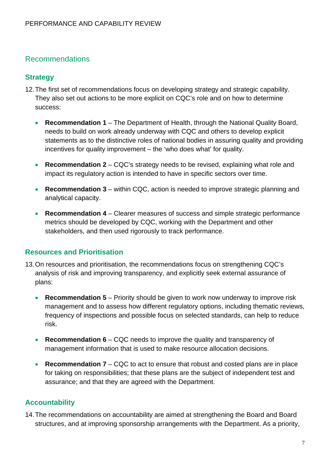### Recommendations

#### **Strategy**

- 12.The first set of recommendations focus on developing strategy and strategic capability. They also set out actions to be more explicit on CQC's role and on how to determine success:
	- **Recommendation 1** The Department of Health, through the National Quality Board, needs to build on work already underway with CQC and others to develop explicit statements as to the distinctive roles of national bodies in assuring quality and providing incentives for quality improvement – the 'who does what' for quality.
	- **Recommendation 2** CQC's strategy needs to be revised, explaining what role and impact its regulatory action is intended to have in specific sectors over time.
	- **Recommendation 3** within CQC, action is needed to improve strategic planning and analytical capacity.
	- **Recommendation 4** Clearer measures of success and simple strategic performance metrics should be developed by CQC, working with the Department and other stakeholders, and then used rigorously to track performance.

#### **Resources and Prioritisation**

- 13.On resources and prioritisation, the recommendations focus on strengthening CQC's analysis of risk and improving transparency, and explicitly seek external assurance of plans:
	- **Recommendation 5** Priority should be given to work now underway to improve risk management and to assess how different regulatory options, including thematic reviews, frequency of inspections and possible focus on selected standards, can help to reduce risk.
	- **Recommendation 6** CQC needs to improve the quality and transparency of management information that is used to make resource allocation decisions.
	- **Recommendation 7** CQC to act to ensure that robust and costed plans are in place for taking on responsibilities; that these plans are the subject of independent test and assurance; and that they are agreed with the Department.

#### **Accountability**

14.The recommendations on accountability are aimed at strengthening the Board and Board structures, and at improving sponsorship arrangements with the Department. As a priority,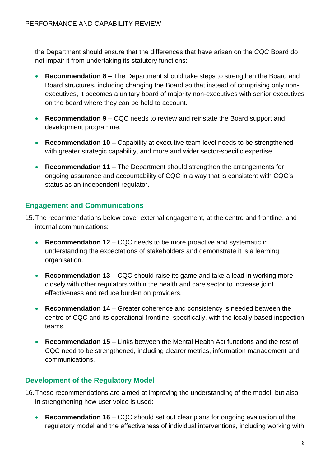the Department should ensure that the differences that have arisen on the CQC Board do not impair it from undertaking its statutory functions:

- **Recommendation 8** The Department should take steps to strengthen the Board and Board structures, including changing the Board so that instead of comprising only nonexecutives, it becomes a unitary board of majority non-executives with senior executives on the board where they can be held to account.
- **Recommendation 9** CQC needs to review and reinstate the Board support and development programme.
- **Recommendation 10** Capability at executive team level needs to be strengthened with greater strategic capability, and more and wider sector-specific expertise.
- **Recommendation 11** The Department should strengthen the arrangements for ongoing assurance and accountability of CQC in a way that is consistent with CQC's status as an independent regulator.

### **Engagement and Communications**

- 15.The recommendations below cover external engagement, at the centre and frontline, and internal communications:
	- **Recommendation 12** CQC needs to be more proactive and systematic in understanding the expectations of stakeholders and demonstrate it is a learning organisation.
	- **Recommendation 13** CQC should raise its game and take a lead in working more closely with other regulators within the health and care sector to increase joint effectiveness and reduce burden on providers.
	- **Recommendation 14** Greater coherence and consistency is needed between the centre of CQC and its operational frontline, specifically, with the locally-based inspection teams.
	- **Recommendation 15** Links between the Mental Health Act functions and the rest of CQC need to be strengthened, including clearer metrics, information management and communications.

### **Development of the Regulatory Model**

- 16.These recommendations are aimed at improving the understanding of the model, but also in strengthening how user voice is used:
	- **Recommendation 16** CQC should set out clear plans for ongoing evaluation of the regulatory model and the effectiveness of individual interventions, including working with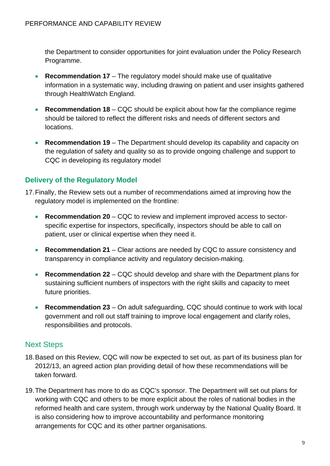the Department to consider opportunities for joint evaluation under the Policy Research Programme.

- **Recommendation 17** The regulatory model should make use of qualitative information in a systematic way, including drawing on patient and user insights gathered through HealthWatch England.
- **Recommendation 18** CQC should be explicit about how far the compliance regime should be tailored to reflect the different risks and needs of different sectors and locations.
- **Recommendation 19** The Department should develop its capability and capacity on the regulation of safety and quality so as to provide ongoing challenge and support to CQC in developing its regulatory model

# **Delivery of the Regulatory Model**

- 17.Finally, the Review sets out a number of recommendations aimed at improving how the regulatory model is implemented on the frontline:
	- **Recommendation 20** CQC to review and implement improved access to sectorspecific expertise for inspectors, specifically, inspectors should be able to call on patient, user or clinical expertise when they need it.
	- **Recommendation 21** Clear actions are needed by CQC to assure consistency and transparency in compliance activity and regulatory decision-making.
	- **Recommendation 22** CQC should develop and share with the Department plans for sustaining sufficient numbers of inspectors with the right skills and capacity to meet future priorities.
	- **Recommendation 23** On adult safeguarding, CQC should continue to work with local government and roll out staff training to improve local engagement and clarify roles, responsibilities and protocols.

# Next Steps

- 18.Based on this Review, CQC will now be expected to set out, as part of its business plan for 2012/13, an agreed action plan providing detail of how these recommendations will be taken forward.
- 19.The Department has more to do as CQC's sponsor. The Department will set out plans for working with CQC and others to be more explicit about the roles of national bodies in the reformed health and care system, through work underway by the National Quality Board. It is also considering how to improve accountability and performance monitoring arrangements for CQC and its other partner organisations.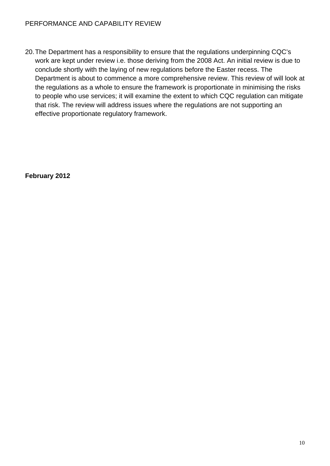20.The Department has a responsibility to ensure that the regulations underpinning CQC's work are kept under review i.e. those deriving from the 2008 Act. An initial review is due to conclude shortly with the laying of new regulations before the Easter recess. The Department is about to commence a more comprehensive review. This review of will look at the regulations as a whole to ensure the framework is proportionate in minimising the risks to people who use services; it will examine the extent to which CQC regulation can mitigate that risk. The review will address issues where the regulations are not supporting an effective proportionate regulatory framework.

**February 2012**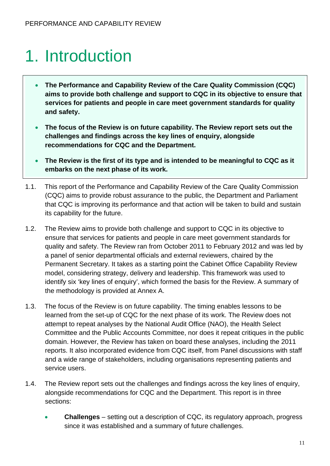# 1. Introduction

- **The Performance and Capability Review of the Care Quality Commission (CQC) aims to provide both challenge and support to CQC in its objective to ensure that services for patients and people in care meet government standards for quality and safety.**
- **The focus of the Review is on future capability. The Review report sets out the challenges and findings across the key lines of enquiry, alongside recommendations for CQC and the Department.**
- **The Review is the first of its type and is intended to be meaningful to CQC as it embarks on the next phase of its work.**
- 1.1. This report of the Performance and Capability Review of the Care Quality Commission (CQC) aims to provide robust assurance to the public, the Department and Parliament that CQC is improving its performance and that action will be taken to build and sustain its capability for the future.
- 1.2. The Review aims to provide both challenge and support to CQC in its objective to ensure that services for patients and people in care meet government standards for quality and safety. The Review ran from October 2011 to February 2012 and was led by a panel of senior departmental officials and external reviewers, chaired by the Permanent Secretary. It takes as a starting point the Cabinet Office Capability Review model, considering strategy, delivery and leadership. This framework was used to identify six 'key lines of enquiry', which formed the basis for the Review. A summary of the methodology is provided at Annex A.
- 1.3. The focus of the Review is on future capability. The timing enables lessons to be learned from the set-up of CQC for the next phase of its work. The Review does not attempt to repeat analyses by the National Audit Office (NAO), the Health Select Committee and the Public Accounts Committee, nor does it repeat critiques in the public domain. However, the Review has taken on board these analyses, including the 2011 reports. It also incorporated evidence from CQC itself, from Panel discussions with staff and a wide range of stakeholders, including organisations representing patients and service users.
- 1.4. The Review report sets out the challenges and findings across the key lines of enquiry, alongside recommendations for CQC and the Department. This report is in three sections:
	- **Challenges** setting out a description of CQC, its regulatory approach, progress since it was established and a summary of future challenges.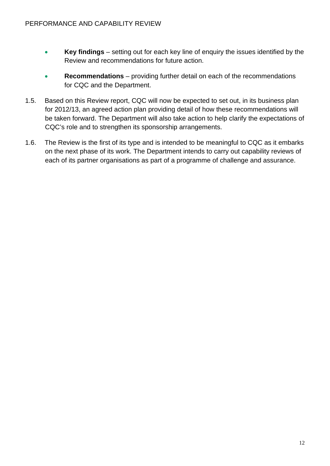- **Key findings** setting out for each key line of enquiry the issues identified by the Review and recommendations for future action.
- **Recommendations** providing further detail on each of the recommendations for CQC and the Department.
- 1.5. Based on this Review report, CQC will now be expected to set out, in its business plan for 2012/13, an agreed action plan providing detail of how these recommendations will be taken forward. The Department will also take action to help clarify the expectations of CQC's role and to strengthen its sponsorship arrangements.
- 1.6. The Review is the first of its type and is intended to be meaningful to CQC as it embarks on the next phase of its work. The Department intends to carry out capability reviews of each of its partner organisations as part of a programme of challenge and assurance.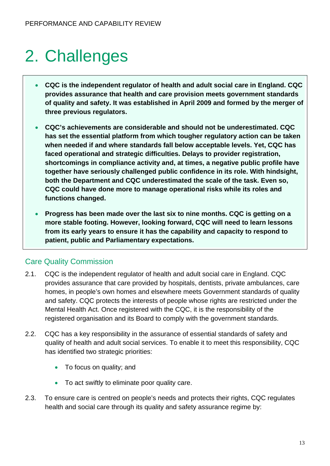# 2. Challenges

- **CQC is the independent regulator of health and adult social care in England. CQC provides assurance that health and care provision meets government standards of quality and safety. It was established in April 2009 and formed by the merger of three previous regulators.**
- **CQC's achievements are considerable and should not be underestimated. CQC has set the essential platform from which tougher regulatory action can be taken when needed if and where standards fall below acceptable levels. Yet, CQC has faced operational and strategic difficulties. Delays to provider registration, shortcomings in compliance activity and, at times, a negative public profile have together have seriously challenged public confidence in its role. With hindsight, both the Department and CQC underestimated the scale of the task. Even so, CQC could have done more to manage operational risks while its roles and functions changed.**
- **Progress has been made over the last six to nine months. CQC is getting on a more stable footing. However, looking forward, CQC will need to learn lessons from its early years to ensure it has the capability and capacity to respond to patient, public and Parliamentary expectations.**

# Care Quality Commission

- 2.1. CQC is the independent regulator of health and adult social care in England. CQC provides assurance that care provided by hospitals, dentists, private ambulances, care homes, in people's own homes and elsewhere meets Government standards of quality and safety. CQC protects the interests of people whose rights are restricted under the Mental Health Act. Once registered with the CQC, it is the responsibility of the registered organisation and its Board to comply with the government standards.
- 2.2. CQC has a key responsibility in the assurance of essential standards of safety and quality of health and adult social services. To enable it to meet this responsibility, CQC has identified two strategic priorities:
	- To focus on quality; and
	- To act swiftly to eliminate poor quality care.
- 2.3. To ensure care is centred on people's needs and protects their rights, CQC regulates health and social care through its quality and safety assurance regime by: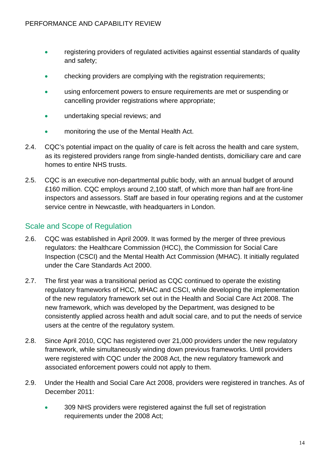- registering providers of regulated activities against essential standards of quality and safety;
- checking providers are complying with the registration requirements;
- using enforcement powers to ensure requirements are met or suspending or cancelling provider registrations where appropriate;
- undertaking special reviews; and
- monitoring the use of the Mental Health Act.
- 2.4. CQC's potential impact on the quality of care is felt across the health and care system, as its registered providers range from single-handed dentists, domiciliary care and care homes to entire NHS trusts.
- 2.5. CQC is an executive non-departmental public body, with an annual budget of around £160 million. CQC employs around 2,100 staff, of which more than half are front-line inspectors and assessors. Staff are based in four operating regions and at the customer service centre in Newcastle, with headquarters in London.

### Scale and Scope of Regulation

- 2.6. CQC was established in April 2009. It was formed by the merger of three previous regulators: the Healthcare Commission (HCC), the Commission for Social Care Inspection (CSCI) and the Mental Health Act Commission (MHAC). It initially regulated under the Care Standards Act 2000.
- 2.7. The first year was a transitional period as CQC continued to operate the existing regulatory frameworks of HCC, MHAC and CSCI, while developing the implementation of the new regulatory framework set out in the Health and Social Care Act 2008. The new framework, which was developed by the Department, was designed to be consistently applied across health and adult social care, and to put the needs of service users at the centre of the regulatory system.
- 2.8. Since April 2010, CQC has registered over 21,000 providers under the new regulatory framework, while simultaneously winding down previous frameworks. Until providers were registered with CQC under the 2008 Act, the new regulatory framework and associated enforcement powers could not apply to them.
- 2.9. Under the Health and Social Care Act 2008, providers were registered in tranches. As of December 2011:
	- 309 NHS providers were registered against the full set of registration requirements under the 2008 Act;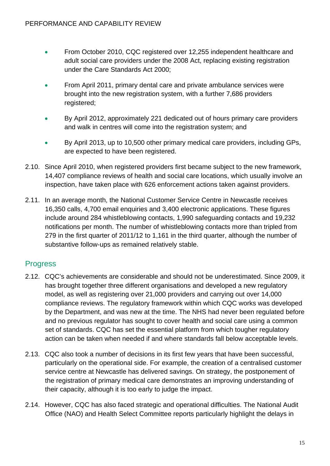- From October 2010, CQC registered over 12,255 independent healthcare and adult social care providers under the 2008 Act, replacing existing registration under the Care Standards Act 2000;
- From April 2011, primary dental care and private ambulance services were brought into the new registration system, with a further 7,686 providers registered;
- By April 2012, approximately 221 dedicated out of hours primary care providers and walk in centres will come into the registration system; and
- By April 2013, up to 10,500 other primary medical care providers, including GPs, are expected to have been registered.
- 2.10. Since April 2010, when registered providers first became subject to the new framework, 14,407 compliance reviews of health and social care locations, which usually involve an inspection, have taken place with 626 enforcement actions taken against providers.
- 2.11. In an average month, the National Customer Service Centre in Newcastle receives 16,350 calls, 4,700 email enquiries and 3,400 electronic applications. These figures include around 284 whistleblowing contacts, 1,990 safeguarding contacts and 19,232 notifications per month. The number of whistleblowing contacts more than tripled from 279 in the first quarter of 2011/12 to 1,161 in the third quarter, although the number of substantive follow-ups as remained relatively stable.

# **Progress**

- 2.12. CQC's achievements are considerable and should not be underestimated. Since 2009, it has brought together three different organisations and developed a new regulatory model, as well as registering over 21,000 providers and carrying out over 14,000 compliance reviews. The regulatory framework within which CQC works was developed by the Department, and was new at the time. The NHS had never been regulated before and no previous regulator has sought to cover health and social care using a common set of standards. CQC has set the essential platform from which tougher regulatory action can be taken when needed if and where standards fall below acceptable levels.
- 2.13. CQC also took a number of decisions in its first few years that have been successful, particularly on the operational side. For example, the creation of a centralised customer service centre at Newcastle has delivered savings. On strategy, the postponement of the registration of primary medical care demonstrates an improving understanding of their capacity, although it is too early to judge the impact.
- 2.14. However, CQC has also faced strategic and operational difficulties. The National Audit Office (NAO) and Health Select Committee reports particularly highlight the delays in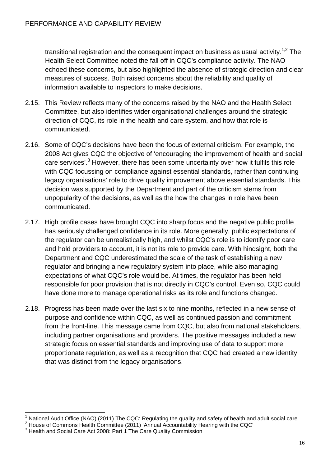transitional registration and the consequent impact on business as usual activity.<sup>1,2</sup> The Health Select Committee noted the fall off in CQC's compliance activity. The NAO echoed these concerns, but also highlighted the absence of strategic direction and clear measures of success. Both raised concerns about the reliability and quality of information available to inspectors to make decisions.

- 2.15. This Review reflects many of the concerns raised by the NAO and the Health Select Committee, but also identifies wider organisational challenges around the strategic direction of CQC, its role in the health and care system, and how that role is communicated.
- 2.16. Some of CQC's decisions have been the focus of external criticism. For example, the 2008 Act gives CQC the objective of 'encouraging the improvement of health and social care services'.<sup>3</sup> However, there has been some uncertainty over how it fulfils this role with CQC focussing on compliance against essential standards, rather than continuing legacy organisations' role to drive quality improvement above essential standards. This decision was supported by the Department and part of the criticism stems from unpopularity of the decisions, as well as the how the changes in role have been communicated.
- 2.17. High profile cases have brought CQC into sharp focus and the negative public profile has seriously challenged confidence in its role. More generally, public expectations of the regulator can be unrealistically high, and whilst CQC's role is to identify poor care and hold providers to account, it is not its role to provide care. With hindsight, both the Department and CQC underestimated the scale of the task of establishing a new regulator and bringing a new regulatory system into place, while also managing expectations of what CQC's role would be. At times, the regulator has been held responsible for poor provision that is not directly in CQC's control. Even so, CQC could have done more to manage operational risks as its role and functions changed.
- 2.18. Progress has been made over the last six to nine months, reflected in a new sense of purpose and confidence within CQC, as well as continued passion and commitment from the front-line. This message came from CQC, but also from national stakeholders, including partner organisations and providers. The positive messages included a new strategic focus on essential standards and improving use of data to support more proportionate regulation, as well as a recognition that CQC had created a new identity that was distinct from the legacy organisations.

1

<sup>1</sup> National Audit Office (NAO) (2011) The CQC: Regulating the quality and safety of health and adult social care

 $2$  House of Commons Health Committee (2011) 'Annual Accountability Hearing with the CQC'

 $3$  Health and Social Care Act 2008: Part 1 The Care Quality Commission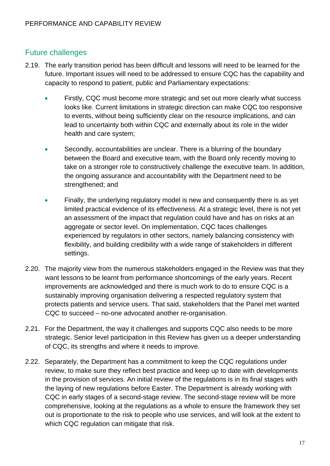# Future challenges

- 2.19. The early transition period has been difficult and lessons will need to be learned for the future. Important issues will need to be addressed to ensure CQC has the capability and capacity to respond to patient, public and Parliamentary expectations:
	- Firstly, CQC must become more strategic and set out more clearly what success looks like. Current limitations in strategic direction can make CQC too responsive to events, without being sufficiently clear on the resource implications, and can lead to uncertainty both within CQC and externally about its role in the wider health and care system;
	- Secondly, accountabilities are unclear. There is a blurring of the boundary between the Board and executive team, with the Board only recently moving to take on a stronger role to constructively challenge the executive team. In addition, the ongoing assurance and accountability with the Department need to be strengthened; and
	- Finally, the underlying regulatory model is new and consequently there is as yet limited practical evidence of its effectiveness. At a strategic level, there is not yet an assessment of the impact that regulation could have and has on risks at an aggregate or sector level. On implementation, CQC faces challenges experienced by regulators in other sectors, namely balancing consistency with flexibility, and building credibility with a wide range of stakeholders in different settings.
- 2.20. The majority view from the numerous stakeholders engaged in the Review was that they want lessons to be learnt from performance shortcomings of the early years. Recent improvements are acknowledged and there is much work to do to ensure CQC is a sustainably improving organisation delivering a respected regulatory system that protects patients and service users. That said, stakeholders that the Panel met wanted CQC to succeed – no-one advocated another re-organisation.
- 2.21. For the Department, the way it challenges and supports CQC also needs to be more strategic. Senior level participation in this Review has given us a deeper understanding of CQC, its strengths and where it needs to improve.
- 2.22. Separately, the Department has a commitment to keep the CQC regulations under review, to make sure they reflect best practice and keep up to date with developments in the provision of services. An initial review of the regulations is in its final stages with the laying of new regulations before Easter. The Department is already working with CQC in early stages of a second-stage review. The second-stage review will be more comprehensive, looking at the regulations as a whole to ensure the framework they set out is proportionate to the risk to people who use services, and will look at the extent to which CQC regulation can mitigate that risk.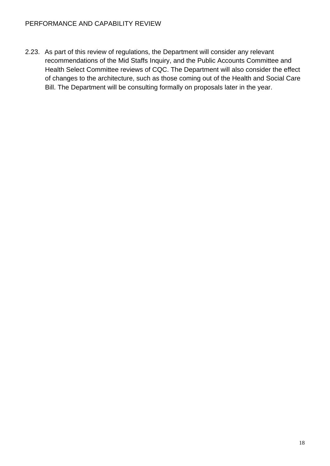2.23. As part of this review of regulations, the Department will consider any relevant recommendations of the Mid Staffs Inquiry, and the Public Accounts Committee and Health Select Committee reviews of CQC. The Department will also consider the effect of changes to the architecture, such as those coming out of the Health and Social Care Bill. The Department will be consulting formally on proposals later in the year.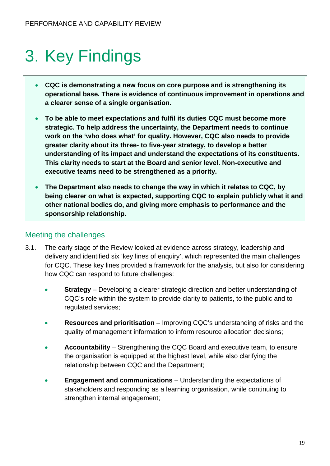# 3. Key Findings

- **CQC is demonstrating a new focus on core purpose and is strengthening its operational base. There is evidence of continuous improvement in operations and a clearer sense of a single organisation.**
- **To be able to meet expectations and fulfil its duties CQC must become more strategic. To help address the uncertainty, the Department needs to continue work on the 'who does what' for quality. However, CQC also needs to provide greater clarity about its three- to five-year strategy, to develop a better understanding of its impact and understand the expectations of its constituents. This clarity needs to start at the Board and senior level. Non-executive and executive teams need to be strengthened as a priority.**
- **The Department also needs to change the way in which it relates to CQC, by being clearer on what is expected, supporting CQC to explain publicly what it and other national bodies do, and giving more emphasis to performance and the sponsorship relationship.**

#### Meeting the challenges

- 3.1. The early stage of the Review looked at evidence across strategy, leadership and delivery and identified six 'key lines of enquiry', which represented the main challenges for CQC. These key lines provided a framework for the analysis, but also for considering how CQC can respond to future challenges:
	- **Strategy** Developing a clearer strategic direction and better understanding of CQC's role within the system to provide clarity to patients, to the public and to regulated services;
	- **Resources and prioritisation** Improving CQC's understanding of risks and the quality of management information to inform resource allocation decisions;
	- **Accountability** Strengthening the CQC Board and executive team, to ensure the organisation is equipped at the highest level, while also clarifying the relationship between CQC and the Department;
	- **Engagement and communications** Understanding the expectations of stakeholders and responding as a learning organisation, while continuing to strengthen internal engagement;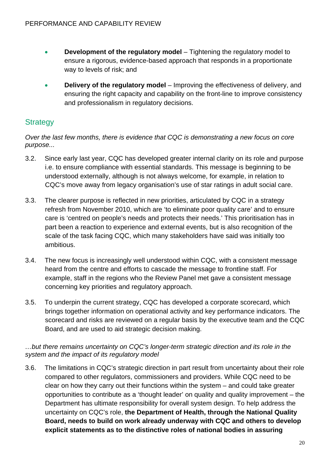- **Development of the regulatory model** Tightening the regulatory model to ensure a rigorous, evidence-based approach that responds in a proportionate way to levels of risk; and
- **Delivery of the regulatory model** Improving the effectiveness of delivery, and ensuring the right capacity and capability on the front-line to improve consistency and professionalism in regulatory decisions.

# **Strategy**

*Over the last few months, there is evidence that CQC is demonstrating a new focus on core purpose...* 

- 3.2. Since early last year, CQC has developed greater internal clarity on its role and purpose i.e. to ensure compliance with essential standards. This message is beginning to be understood externally, although is not always welcome, for example, in relation to CQC's move away from legacy organisation's use of star ratings in adult social care.
- 3.3. The clearer purpose is reflected in new priorities, articulated by CQC in a strategy refresh from November 2010, which are 'to eliminate poor quality care' and to ensure care is 'centred on people's needs and protects their needs.' This prioritisation has in part been a reaction to experience and external events, but is also recognition of the scale of the task facing CQC, which many stakeholders have said was initially too ambitious.
- 3.4. The new focus is increasingly well understood within CQC, with a consistent message heard from the centre and efforts to cascade the message to frontline staff. For example, staff in the regions who the Review Panel met gave a consistent message concerning key priorities and regulatory approach.
- 3.5. To underpin the current strategy, CQC has developed a corporate scorecard, which brings together information on operational activity and key performance indicators. The scorecard and risks are reviewed on a regular basis by the executive team and the CQC Board, and are used to aid strategic decision making.

#### *…but there remains uncertainty on CQC's longer-term strategic direction and its role in the system and the impact of its regulatory model*

3.6. The limitations in CQC's strategic direction in part result from uncertainty about their role compared to other regulators, commissioners and providers. While CQC need to be clear on how they carry out their functions within the system – and could take greater opportunities to contribute as a 'thought leader' on quality and quality improvement – the Department has ultimate responsibility for overall system design. To help address the uncertainty on CQC's role, **the Department of Health, through the National Quality Board, needs to build on work already underway with CQC and others to develop explicit statements as to the distinctive roles of national bodies in assuring**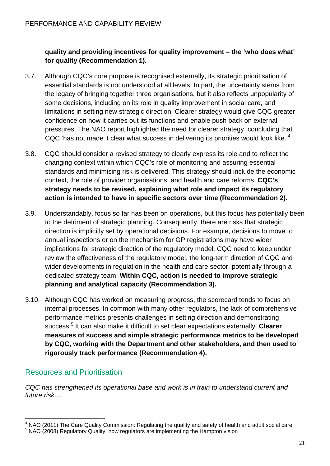#### **quality and providing incentives for quality improvement – the 'who does what' for quality (Recommendation 1).**

- 3.7. Although CQC's core purpose is recognised externally, its strategic prioritisation of essential standards is not understood at all levels. In part, the uncertainty stems from the legacy of bringing together three organisations, but it also reflects unpopularity of some decisions, including on its role in quality improvement in social care, and limitations in setting new strategic direction. Clearer strategy would give CQC greater confidence on how it carries out its functions and enable push back on external pressures. The NAO report highlighted the need for clearer strategy, concluding that CQC 'has not made it clear what success in delivering its priorities would look like.<sup>4</sup>
- 3.8. CQC should consider a revised strategy to clearly express its role and to reflect the changing context within which CQC's role of monitoring and assuring essential standards and minimising risk is delivered. This strategy should include the economic context, the role of provider organisations, and health and care reforms. **CQC's strategy needs to be revised, explaining what role and impact its regulatory action is intended to have in specific sectors over time (Recommendation 2).**
- 3.9. Understandably, focus so far has been on operations, but this focus has potentially been to the detriment of strategic planning. Consequently, there are risks that strategic direction is implicitly set by operational decisions. For example, decisions to move to annual inspections or on the mechanism for GP registrations may have wider implications for strategic direction of the regulatory model. CQC need to keep under review the effectiveness of the regulatory model, the long-term direction of CQC and wider developments in regulation in the health and care sector, potentially through a dedicated strategy team. **Within CQC, action is needed to improve strategic planning and analytical capacity (Recommendation 3).**
- **rigorously track performance (Recommendation 4).** 3.10. Although CQC has worked on measuring progress, the scorecard tends to focus on internal processes. In common with many other regulators, the lack of comprehensive performance metrics presents challenges in setting direction and demonstrating success.<sup>5</sup> It can also make it difficult to set clear expectations externally. **Clearer measures of success and simple strategic performance metrics to be developed by CQC, working with the Department and other stakeholders, and then used to**

# Resources and Prioritisation

*CQC has strengthened its operational base and work is in train to understand current and future risk…* 

 4 NAO (2011) The Care Quality Commission: Regulating the quality and safety of health and adult social care 5  $5$  NAO (2008) Regulatory Quality: how regulators are implementing the Hampton vision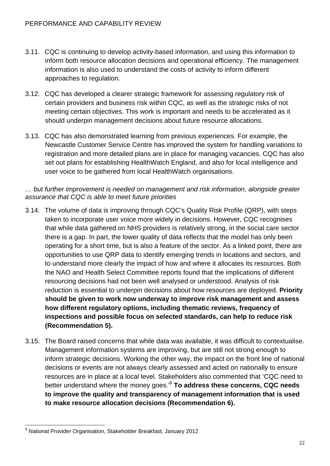- 3.11. CQC is continuing to develop activity-based information, and using this information to inform both resource allocation decisions and operational efficiency. The management information is also used to understand the costs of activity to inform different approaches to regulation.
- 3.12. CQC has developed a clearer strategic framework for assessing regulatory risk of certain providers and business risk within CQC, as well as the strategic risks of not meeting certain objectives. This work is important and needs to be accelerated as it should underpin management decisions about future resource allocations.
- 3.13. CQC has also demonstrated learning from previous experiences. For example, the Newcastle Customer Service Centre has improved the system for handling variations to registration and more detailed plans are in place for managing vacancies. CQC has also set out plans for establishing HealthWatch England, and also for local intelligence and user voice to be gathered from local HealthWatch organisations.

#### *… but further improvement is needed on management and risk information, alongside greater assurance that CQC is able to meet future priorities*

- 3.14. The volume of data is improving through CQC's Quality Risk Profile (QRP), with steps taken to incorporate user voice more widely in decisions. However, CQC recognises that while data gathered on NHS providers is relatively strong, in the social care sector there is a gap. In part, the lower quality of data reflects that the model has only been operating for a short time, but is also a feature of the sector. As a linked point, there are opportunities to use QRP data to identify emerging trends in locations and sectors, and to understand more clearly the impact of how and where it allocates its resources. Both the NAO and Health Select Committee reports found that the implications of different resourcing decisions had not been well analysed or understood. Analysis of risk reduction is essential to underpin decisions about how resources are deployed. **Priority should be given to work now underway to improve risk management and assess how different regulatory options, including thematic reviews, frequency of inspections and possible focus on selected standards, can help to reduce risk (Recommendation 5).**
- **to make resource allocation decisions (Recommendation 6).** 3.15. The Board raised concerns that while data was available, it was difficult to contextualise. Management information systems are improving, but are still not strong enough to inform strategic decisions. Working the other way, the impact on the front line of national decisions or events are not always clearly assessed and acted on nationally to ensure resources are in place at a local level. Stakeholders also commented that 'CQC need to better understand where the money goes.'6 **To address these concerns, CQC needs to improve the quality and transparency of management information that is used**

<sup>1</sup> 6 National Provider Organisation, Stakeholder Breakfast, January 2012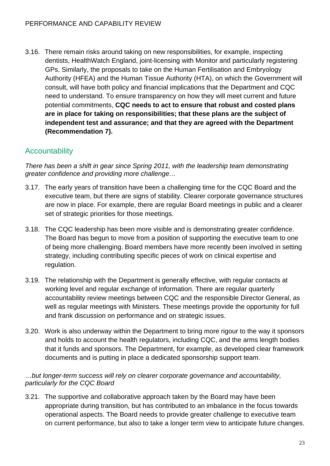3.16. There remain risks around taking on new responsibilities, for example, inspecting dentists, HealthWatch England, joint-licensing with Monitor and particularly registering GPs. Similarly, the proposals to take on the Human Fertilisation and Embryology Authority (HFEA) and the Human Tissue Authority (HTA), on which the Government will consult, will have both policy and financial implications that the Department and CQC need to understand. To ensure transparency on how they will meet current and future potential commitments, **CQC needs to act to ensure that robust and costed plans are in place for taking on responsibilities; that these plans are the subject of independent test and assurance; and that they are agreed with the Department (Recommendation 7).** 

# **Accountability**

*There has been a shift in gear since Spring 2011, with the leadership team demonstrating greater confidence and providing more challenge…* 

- 3.17. The early years of transition have been a challenging time for the CQC Board and the executive team, but there are signs of stability. Clearer corporate governance structures are now in place. For example, there are regular Board meetings in public and a clearer set of strategic priorities for those meetings.
- 3.18. The CQC leadership has been more visible and is demonstrating greater confidence. The Board has begun to move from a position of supporting the executive team to one of being more challenging. Board members have more recently been involved in setting strategy, including contributing specific pieces of work on clinical expertise and regulation.
- 3.19. The relationship with the Department is generally effective, with regular contacts at working level and regular exchange of information. There are regular quarterly accountability review meetings between CQC and the responsible Director General, as well as regular meetings with Ministers. These meetings provide the opportunity for full and frank discussion on performance and on strategic issues.
- 3.20. Work is also underway within the Department to bring more rigour to the way it sponsors and holds to account the health regulators, including CQC, and the arms length bodies that it funds and sponsors. The Department, for example, as developed clear framework documents and is putting in place a dedicated sponsorship support team.

#### *…but longer-term success will rely on clearer corporate governance and accountability, particularly for the CQC Board*

3.21. The supportive and collaborative approach taken by the Board may have been appropriate during transition, but has contributed to an imbalance in the focus towards operational aspects. The Board needs to provide greater challenge to executive team on current performance, but also to take a longer term view to anticipate future changes.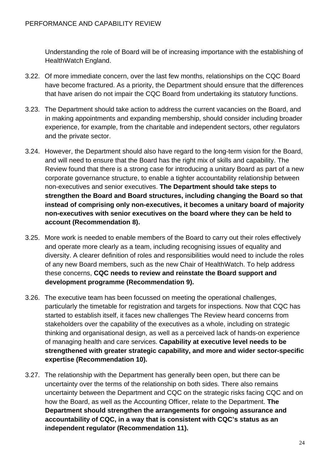Understanding the role of Board will be of increasing importance with the establishing of HealthWatch England.

- 3.22. Of more immediate concern, over the last few months, relationships on the CQC Board have become fractured. As a priority, the Department should ensure that the differences that have arisen do not impair the CQC Board from undertaking its statutory functions.
- 3.23. The Department should take action to address the current vacancies on the Board, and in making appointments and expanding membership, should consider including broader experience, for example, from the charitable and independent sectors, other regulators and the private sector.
- 3.24. However, the Department should also have regard to the long-term vision for the Board, and will need to ensure that the Board has the right mix of skills and capability. The Review found that there is a strong case for introducing a unitary Board as part of a new corporate governance structure, to enable a tighter accountability relationship between non-executives and senior executives. **The Department should take steps to strengthen the Board and Board structures, including changing the Board so that instead of comprising only non-executives, it becomes a unitary board of majority non-executives with senior executives on the board where they can be held to account (Recommendation 8).**
- 3.25. More work is needed to enable members of the Board to carry out their roles effectively and operate more clearly as a team, including recognising issues of equality and diversity. A clearer definition of roles and responsibilities would need to include the roles of any new Board members, such as the new Chair of HealthWatch. To help address these concerns, **CQC needs to review and reinstate the Board support and development programme (Recommendation 9).**
- 3.26. The executive team has been focussed on meeting the operational challenges, particularly the timetable for registration and targets for inspections. Now that CQC has started to establish itself, it faces new challenges The Review heard concerns from stakeholders over the capability of the executives as a whole, including on strategic thinking and organisational design, as well as a perceived lack of hands-on experience of managing health and care services. **Capability at executive level needs to be strengthened with greater strategic capability, and more and wider sector-specific expertise (Recommendation 10).**
- 3.27. The relationship with the Department has generally been open, but there can be uncertainty over the terms of the relationship on both sides. There also remains uncertainty between the Department and CQC on the strategic risks facing CQC and on how the Board, as well as the Accounting Officer, relate to the Department. **The Department should strengthen the arrangements for ongoing assurance and accountability of CQC, in a way that is consistent with CQC's status as an independent regulator (Recommendation 11).**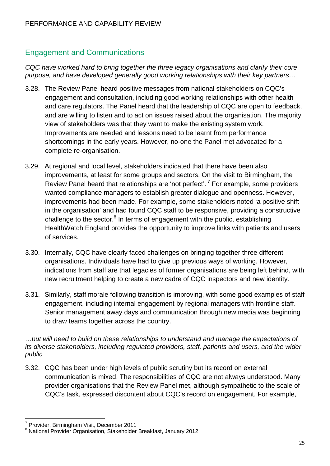# Engagement and Communications

*CQC have worked hard to bring together the three legacy organisations and clarify their core purpose, and have developed generally good working relationships with their key partners…* 

- 3.28. The Review Panel heard positive messages from national stakeholders on CQC's engagement and consultation, including good working relationships with other health and care regulators. The Panel heard that the leadership of CQC are open to feedback, and are willing to listen and to act on issues raised about the organisation. The majority view of stakeholders was that they want to make the existing system work. Improvements are needed and lessons need to be learnt from performance shortcomings in the early years. However, no-one the Panel met advocated for a complete re-organisation.
- 3.29. At regional and local level, stakeholders indicated that there have been also improvements, at least for some groups and sectors. On the visit to Birmingham, the Review Panel heard that relationships are 'not perfect'.<sup>7</sup> For example, some providers wanted compliance managers to establish greater dialogue and openness. However, improvements had been made. For example, some stakeholders noted 'a positive shift in the organisation' and had found CQC staff to be responsive, providing a constructive challenge to the sector.<sup>8</sup> In terms of engagement with the public, establishing HealthWatch England provides the opportunity to improve links with patients and users of services.
- 3.30. Internally, CQC have clearly faced challenges on bringing together three different organisations. Individuals have had to give up previous ways of working. However, indications from staff are that legacies of former organisations are being left behind, with new recruitment helping to create a new cadre of CQC inspectors and new identity.
- 3.31. Similarly, staff morale following transition is improving, with some good examples of staff engagement, including internal engagement by regional managers with frontline staff. Senior management away days and communication through new media was beginning to draw teams together across the country.

#### *…but will need to build on these relationships to understand and manage the expectations of its diverse stakeholders, including regulated providers, staff, patients and users, and the wider public*

3.32. CQC has been under high levels of public scrutiny but its record on external communication is mixed. The responsibilities of CQC are not always understood. Many provider organisations that the Review Panel met, although sympathetic to the scale of CQC's task, expressed discontent about CQC's record on engagement. For example,

1

<sup>&</sup>lt;sup>7</sup> Provider, Birmingham Visit, December 2011

<sup>8</sup> National Provider Organisation, Stakeholder Breakfast, January 2012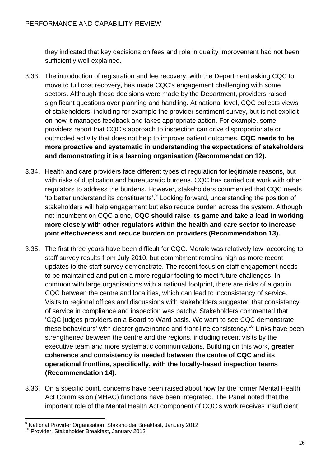they indicated that key decisions on fees and role in quality improvement had not been sufficiently well explained.

- 3.33. The introduction of registration and fee recovery, with the Department asking CQC to move to full cost recovery, has made CQC's engagement challenging with some sectors. Although these decisions were made by the Department, providers raised significant questions over planning and handling. At national level, CQC collects views of stakeholders, including for example the provider sentiment survey, but is not explicit on how it manages feedback and takes appropriate action. For example, some providers report that CQC's approach to inspection can drive disproportionate or outmoded activity that does not help to improve patient outcomes. **CQC needs to be more proactive and systematic in understanding the expectations of stakeholders and demonstrating it is a learning organisation (Recommendation 12).**
- **joint effectiveness and reduce burden on providers (Recommendation 13).** 3.34. Health and care providers face different types of regulation for legitimate reasons, but with risks of duplication and bureaucratic burdens. CQC has carried out work with other regulators to address the burdens. However, stakeholders commented that CQC needs 'to better understand its constituents'.<sup>9</sup> Looking forward, understanding the position of stakeholders will help engagement but also reduce burden across the system. Although not incumbent on CQC alone, **CQC should raise its game and take a lead in working more closely with other regulators within the health and care sector to increase**
- 3.35. The first three years have been difficult for CQC. Morale was relatively low, according to staff survey results from July 2010, but commitment remains high as more recent updates to the staff survey demonstrate. The recent focus on staff engagement needs to be maintained and put on a more regular footing to meet future challenges. In common with large organisations with a national footprint, there are risks of a gap in CQC between the centre and localities, which can lead to inconsistency of service. Visits to regional offices and discussions with stakeholders suggested that consistency of service in compliance and inspection was patchy. Stakeholders commented that 'CQC judges providers on a Board to Ward basis. We want to see CQC demonstrate these behaviours' with clearer governance and front-line consistency.<sup>10</sup> Links have been strengthened between the centre and the regions, including recent visits by the executive team and more systematic communications. Building on this work, **greater coherence and consistency is needed between the centre of CQC and its operational frontline, specifically, with the locally-based inspection teams (Recommendation 14).**
- 3.36. On a specific point, concerns have been raised about how far the former Mental Health Act Commission (MHAC) functions have been integrated. The Panel noted that the important role of the Mental Health Act component of CQC's work receives insufficient

\_\_\_\_\_\_\_\_\_\_\_\_\_\_\_\_\_\_\_\_\_\_\_\_\_\_\_\_\_\_\_\_\_\_<br><sup>9</sup> National Provider Organisation, Stakeholder Breakfast, January 2012

<sup>&</sup>lt;sup>10</sup> Provider, Stakeholder Breakfast, January 2012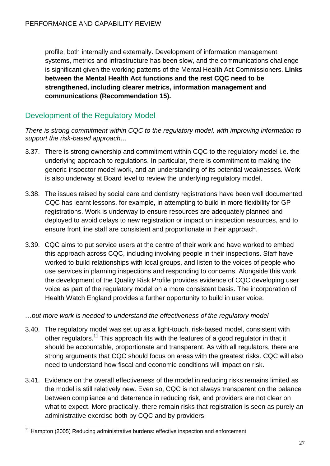**communications (Recommendation 15).** profile, both internally and externally. Development of information management systems, metrics and infrastructure has been slow, and the communications challenge is significant given the working patterns of the Mental Health Act Commissioners. **Links between the Mental Health Act functions and the rest CQC need to be strengthened, including clearer metrics, information management and** 

# Development of the Regulatory Model

*There is strong commitment within CQC to the regulatory model, with improving information to support the risk-based approach…* 

- 3.37. There is strong ownership and commitment within CQC to the regulatory model i.e. the underlying approach to regulations. In particular, there is commitment to making the generic inspector model work, and an understanding of its potential weaknesses. Work is also underway at Board level to review the underlying regulatory model.
- 3.38. The issues raised by social care and dentistry registrations have been well documented. CQC has learnt lessons, for example, in attempting to build in more flexibility for GP registrations. Work is underway to ensure resources are adequately planned and deployed to avoid delays to new registration or impact on inspection resources, and to ensure front line staff are consistent and proportionate in their approach.
- 3.39. CQC aims to put service users at the centre of their work and have worked to embed this approach across CQC, including involving people in their inspections. Staff have worked to build relationships with local groups, and listen to the voices of people who use services in planning inspections and responding to concerns. Alongside this work, the development of the Quality Risk Profile provides evidence of CQC developing user voice as part of the regulatory model on a more consistent basis. The incorporation of Health Watch England provides a further opportunity to build in user voice.

#### *…but more work is needed to understand the effectiveness of the regulatory model*

- 3.40. The regulatory model was set up as a light-touch, risk-based model, consistent with other regulators.<sup>11</sup> This approach fits with the features of a good regulator in that it should be accountable, proportionate and transparent. As with all regulators, there are strong arguments that CQC should focus on areas with the greatest risks. CQC will also need to understand how fiscal and economic conditions will impact on risk.
- 3.41. Evidence on the overall effectiveness of the model in reducing risks remains limited as the model is still relatively new. Even so, CQC is not always transparent on the balance between compliance and deterrence in reducing risk, and providers are not clear on what to expect. More practically, there remain risks that registration is seen as purely an administrative exercise both by CQC and by providers.

1

<sup>&</sup>lt;sup>11</sup> Hampton (2005) Reducing administrative burdens: effective inspection and enforcement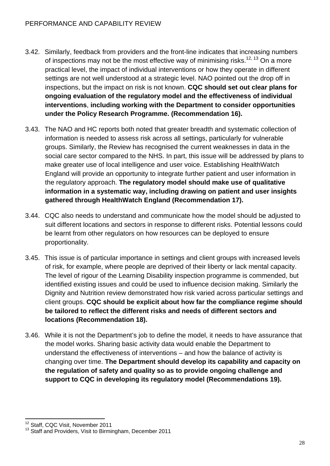- 3.42. Similarly, feedback from providers and the front-line indicates that increasing numbers of inspections may not be the most effective way of minimising risks.<sup>12, 13</sup> On a more practical level, the impact of individual interventions or how they operate in different settings are not well understood at a strategic level. NAO pointed out the drop off in inspections, but the impact on risk is not known. **CQC should set out clear plans for ongoing evaluation of the regulatory model and the effectiveness of individual interventions**, **including working with the Department to consider opportunities under the Policy Research Programme. (Recommendation 16).**
- 3.43. The NAO and HC reports both noted that greater breadth and systematic collection of information is needed to assess risk across all settings, particularly for vulnerable groups. Similarly, the Review has recognised the current weaknesses in data in the social care sector compared to the NHS. In part, this issue will be addressed by plans to make greater use of local intelligence and user voice. Establishing HealthWatch England will provide an opportunity to integrate further patient and user information in the regulatory approach. **The regulatory model should make use of qualitative information in a systematic way, including drawing on patient and user insights gathered through HealthWatch England (Recommendation 17).**
- 3.44. CQC also needs to understand and communicate how the model should be adjusted to suit different locations and sectors in response to different risks. Potential lessons could be learnt from other regulators on how resources can be deployed to ensure proportionality.
- 3.45. This issue is of particular importance in settings and client groups with increased levels of risk, for example, where people are deprived of their liberty or lack mental capacity. The level of rigour of the Learning Disability inspection programme is commended, but identified existing issues and could be used to influence decision making. Similarly the Dignity and Nutrition review demonstrated how risk varied across particular settings and client groups. **CQC should be explicit about how far the compliance regime should be tailored to reflect the different risks and needs of different sectors and locations (Recommendation 18).**
- 3.46. While it is not the Department's job to define the model, it needs to have assurance that the model works. Sharing basic activity data would enable the Department to understand the effectiveness of interventions – and how the balance of activity is changing over time. **The Department should develop its capability and capacity on the regulation of safety and quality so as to provide ongoing challenge and support to CQC in developing its regulatory model (Recommendations 19).**

<sup>1</sup> <sup>12</sup> Staff, CQC Visit, November 2011

<sup>&</sup>lt;sup>13</sup> Staff and Providers, Visit to Birmingham, December 2011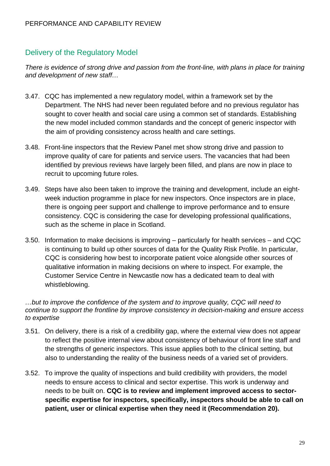### Delivery of the Regulatory Model

*There is evidence of strong drive and passion from the front-line, with plans in place for training and development of new staff…* 

- 3.47. CQC has implemented a new regulatory model, within a framework set by the Department. The NHS had never been regulated before and no previous regulator has sought to cover health and social care using a common set of standards. Establishing the new model included common standards and the concept of generic inspector with the aim of providing consistency across health and care settings.
- 3.48. Front-line inspectors that the Review Panel met show strong drive and passion to improve quality of care for patients and service users. The vacancies that had been identified by previous reviews have largely been filled, and plans are now in place to recruit to upcoming future roles.
- 3.49. Steps have also been taken to improve the training and development, include an eightweek induction programme in place for new inspectors. Once inspectors are in place, there is ongoing peer support and challenge to improve performance and to ensure consistency. CQC is considering the case for developing professional qualifications, such as the scheme in place in Scotland.
- 3.50. Information to make decisions is improving particularly for health services and CQC is continuing to build up other sources of data for the Quality Risk Profile. In particular, CQC is considering how best to incorporate patient voice alongside other sources of qualitative information in making decisions on where to inspect. For example, the Customer Service Centre in Newcastle now has a dedicated team to deal with whistleblowing.

#### *…but to improve the confidence of the system and to improve quality, CQC will need to continue to support the frontline by improve consistency in decision-making and ensure access to expertise*

- 3.51. On delivery, there is a risk of a credibility gap, where the external view does not appear to reflect the positive internal view about consistency of behaviour of front line staff and the strengths of generic inspectors. This issue applies both to the clinical setting, but also to understanding the reality of the business needs of a varied set of providers.
- 3.52. To improve the quality of inspections and build credibility with providers, the model needs to ensure access to clinical and sector expertise. This work is underway and needs to be built on. **CQC is to review and implement improved access to sectorspecific expertise for inspectors, specifically, inspectors should be able to call on patient, user or clinical expertise when they need it (Recommendation 20).**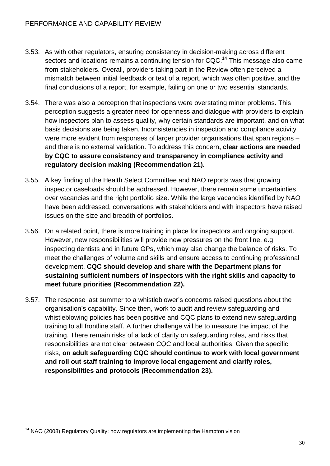- 3.53. As with other regulators, ensuring consistency in decision-making across different sectors and locations remains a continuing tension for CQC.<sup>14</sup> This message also came from stakeholders. Overall, providers taking part in the Review often perceived a mismatch between initial feedback or text of a report, which was often positive, and the final conclusions of a report, for example, failing on one or two essential standards.
- 3.54. There was also a perception that inspections were overstating minor problems. This perception suggests a greater need for openness and dialogue with providers to explain how inspectors plan to assess quality, why certain standards are important, and on what basis decisions are being taken. Inconsistencies in inspection and compliance activity were more evident from responses of larger provider organisations that span regions – and there is no external validation. To address this concern**, clear actions are needed by CQC to assure consistency and transparency in compliance activity and regulatory decision making (Recommendation 21).**
- 3.55. A key finding of the Health Select Committee and NAO reports was that growing inspector caseloads should be addressed. However, there remain some uncertainties over vacancies and the right portfolio size. While the large vacancies identified by NAO have been addressed, conversations with stakeholders and with inspectors have raised issues on the size and breadth of portfolios.
- 3.56. On a related point, there is more training in place for inspectors and ongoing support. However, new responsibilities will provide new pressures on the front line, e.g. inspecting dentists and in future GPs, which may also change the balance of risks. To meet the challenges of volume and skills and ensure access to continuing professional development, **CQC should develop and share with the Department plans for sustaining sufficient numbers of inspectors with the right skills and capacity to meet future priorities (Recommendation 22).**
- 3.57. The response last summer to a whistleblower's concerns raised questions about the organisation's capability. Since then, work to audit and review safeguarding and whistleblowing policies has been positive and CQC plans to extend new safeguarding training to all frontline staff. A further challenge will be to measure the impact of the training. There remain risks of a lack of clarity on safeguarding roles, and risks that responsibilities are not clear between CQC and local authorities. Given the specific risks, **on adult safeguarding CQC should continue to work with local government and roll out staff training to improve local engagement and clarify roles, responsibilities and protocols (Recommendation 23).**

<sup>1</sup> <sup>14</sup> NAO (2008) Regulatory Quality: how regulators are implementing the Hampton vision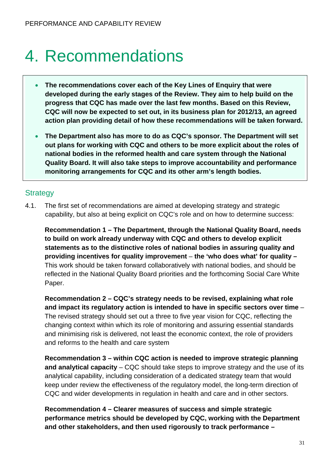# 4. Recommendations

- **The recommendations cover each of the Key Lines of Enquiry that were developed during the early stages of the Review. They aim to help build on the progress that CQC has made over the last few months. Based on this Review, CQC will now be expected to set out, in its business plan for 2012/13, an agreed action plan providing detail of how these recommendations will be taken forward.**
- **The Department also has more to do as CQC's sponsor. The Department will set out plans for working with CQC and others to be more explicit about the roles of national bodies in the reformed health and care system through the National Quality Board. It will also take steps to improve accountability and performance monitoring arrangements for CQC and its other arm's length bodies.**

# **Strategy**

4.1. The first set of recommendations are aimed at developing strategy and strategic capability, but also at being explicit on CQC's role and on how to determine success:

Paper. **Recommendation 1 – The Department, through the National Quality Board, needs to build on work already underway with CQC and others to develop explicit statements as to the distinctive roles of national bodies in assuring quality and providing incentives for quality improvement** – **the 'who does what' for quality –**  This work should be taken forward collaboratively with national bodies, and should be reflected in the National Quality Board priorities and the forthcoming Social Care White

**Recommendation 2 – CQC's strategy needs to be revised, explaining what role and impact its regulatory action is intended to have in specific sectors over time** *–*  The revised strategy should set out a three to five year vision for CQC, reflecting the changing context within which its role of monitoring and assuring essential standards and minimising risk is delivered, not least the economic context, the role of providers and reforms to the health and care system

**Recommendation 3 – within CQC action is needed to improve strategic planning and analytical capacity** – CQC should take steps to improve strategy and the use of its analytical capability, including consideration of a dedicated strategy team that would keep under review the effectiveness of the regulatory model, the long-term direction of CQC and wider developments in regulation in health and care and in other sectors.

**Recommendation 4 – Clearer measures of success and simple strategic performance metrics should be developed by CQC, working with the Department and other stakeholders, and then used rigorously to track performance –**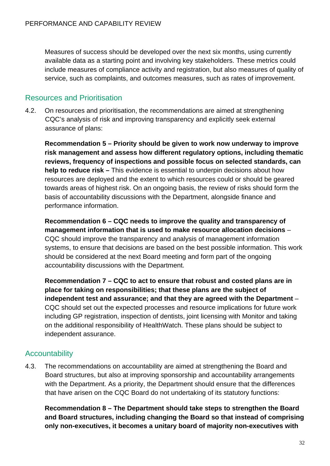service, such as complaints, and outcomes measures, such as rates of improvement. Resources and Prioritisation Measures of success should be developed over the next six months, using currently available data as a starting point and involving key stakeholders. These metrics could include measures of compliance activity and registration, but also measures of quality of

4.2. On resources and prioritisation, the recommendations are aimed at strengthening CQC's analysis of risk and improving transparency and explicitly seek external assurance of plans:

**Recommendation 5 – Priority should be given to work now underway to improve risk management and assess how different regulatory options, including thematic reviews, frequency of inspections and possible focus on selected standards, can help to reduce risk –** This evidence is essential to underpin decisions about how resources are deployed and the extent to which resources could or should be geared towards areas of highest risk. On an ongoing basis, the review of risks should form the basis of accountability discussions with the Department, alongside finance and performance information.

**Recommendation 6 – CQC needs to improve the quality and transparency of management information that is used to make resource allocation decisions** – CQC should improve the transparency and analysis of management information systems, to ensure that decisions are based on the best possible information. This work should be considered at the next Board meeting and form part of the ongoing accountability discussions with the Department.

 independent assurance. Accountability **Recommendation 7 – CQC to act to ensure that robust and costed plans are in place for taking on responsibilities; that these plans are the subject of independent test and assurance; and that they are agreed with the Department** – CQC should set out the expected processes and resource implications for future work including GP registration, inspection of dentists, joint licensing with Monitor and taking on the additional responsibility of HealthWatch. These plans should be subject to

4.3. The recommendations on accountability are aimed at strengthening the Board and Board structures, but also at improving sponsorship and accountability arrangements with the Department. As a priority, the Department should ensure that the differences that have arisen on the CQC Board do not undertaking of its statutory functions:

**Recommendation 8 – The Department should take steps to strengthen the Board and Board structures, including changing the Board so that instead of comprising only non-executives, it becomes a unitary board of majority non-executives with**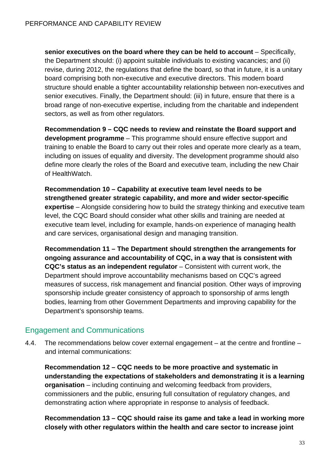**senior executives on the board where they can be held to account** – Specifically, the Department should: (i) appoint suitable individuals to existing vacancies; and (ii) revise, during 2012, the regulations that define the board, so that in future, it is a unitary board comprising both non-executive and executive directors. This modern board structure should enable a tighter accountability relationship between non-executives and senior executives. Finally, the Department should: (iii) in future, ensure that there is a broad range of non-executive expertise, including from the charitable and independent sectors, as well as from other regulators.

**Recommendation 9 – CQC needs to review and reinstate the Board support and development programme** – This programme should ensure effective support and training to enable the Board to carry out their roles and operate more clearly as a team, including on issues of equality and diversity. The development programme should also define more clearly the roles of the Board and executive team, including the new Chair of HealthWatch.

**Recommendation 10 – Capability at executive team level needs to be strengthened greater strategic capability, and more and wider sector-specific expertise** – Alongside considering how to build the strategy thinking and executive team level, the CQC Board should consider what other skills and training are needed at executive team level, including for example, hands-on experience of managing health and care services, organisational design and managing transition.

**Recommendation 11 – The Department should strengthen the arrangements for ongoing assurance and accountability of CQC, in a way that is consistent with CQC's status as an independent regulator** – Consistent with current work, the Department should improve accountability mechanisms based on CQC's agreed measures of success, risk management and financial position. Other ways of improving sponsorship include greater consistency of approach to sponsorship of arms length bodies, learning from other Government Departments and improving capability for the Department's sponsorship teams.

# Engagement and Communications

4.4. The recommendations below cover external engagement – at the centre and frontline – and internal communications:

**Recommendation 12 – CQC needs to be more proactive and systematic in understanding the expectations of stakeholders and demonstrating it is a learning organisation** – including continuing and welcoming feedback from providers, commissioners and the public, ensuring full consultation of regulatory changes, and demonstrating action where appropriate in response to analysis of feedback.

**Recommendation 13 – CQC should raise its game and take a lead in working more closely with other regulators within the health and care sector to increase joint**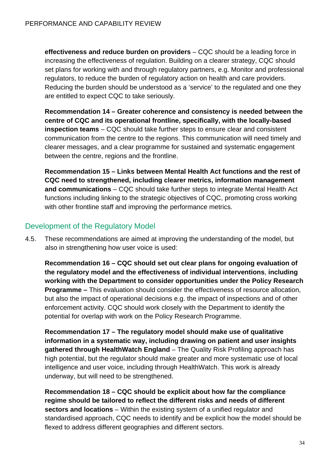are entitled to expect CQC to take seriously. **effectiveness and reduce burden on providers** – CQC should be a leading force in increasing the effectiveness of regulation. Building on a clearer strategy, CQC should set plans for working with and through regulatory partners, e.g. Monitor and professional regulators, to reduce the burden of regulatory action on health and care providers. Reducing the burden should be understood as a 'service' to the regulated and one they

**Recommendation 14 – Greater coherence and consistency is needed between the centre of CQC and its operational frontline, specifically, with the locally-based inspection teams** – CQC should take further steps to ensure clear and consistent communication from the centre to the regions. This communication will need timely and clearer messages, and a clear programme for sustained and systematic engagement between the centre, regions and the frontline.

**Recommendation 15 – Links between Mental Health Act functions and the rest of CQC need to strengthened, including clearer metrics, information management and communications** – CQC should take further steps to integrate Mental Health Act functions including linking to the strategic objectives of CQC, promoting cross working with other frontline staff and improving the performance metrics.

# Development of the Regulatory Model

4.5. These recommendations are aimed at improving the understanding of the model, but also in strengthening how user voice is used:

**Recommendation 16 – CQC should set out clear plans for ongoing evaluation of the regulatory model and the effectiveness of individual interventions**, **including working with the Department to consider opportunities under the Policy Research Programme –** This evaluation should consider the effectiveness of resource allocation, but also the impact of operational decisions e.g. the impact of inspections and of other enforcement activity. CQC should work closely with the Department to identify the potential for overlap with work on the Policy Research Programme.

**Recommendation 17 – The regulatory model should make use of qualitative information in a systematic way, including drawing on patient and user insights gathered through HealthWatch England** – The Quality Risk Profiling approach has high potential, but the regulator should make greater and more systematic use of local intelligence and user voice, including through HealthWatch. This work is already underway, but will need to be strengthened.

**Recommendation 18 – CQC should be explicit about how far the compliance regime should be tailored to reflect the different risks and needs of different sectors and locations** – Within the existing system of a unified regulator and standardised approach, CQC needs to identify and be explicit how the model should be flexed to address different geographies and different sectors.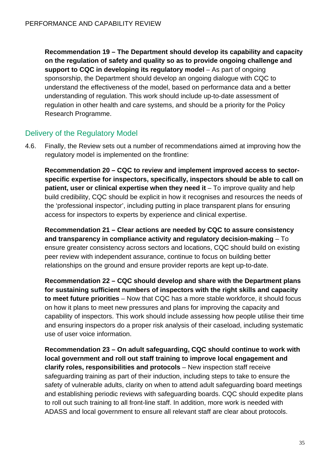**Recommendation 19 – The Department should develop its capability and capacity on the regulation of safety and quality so as to provide ongoing challenge and support to CQC in developing its regulatory model** – As part of ongoing sponsorship, the Department should develop an ongoing dialogue with CQC to understand the effectiveness of the model, based on performance data and a better understanding of regulation. This work should include up-to-date assessment of regulation in other health and care systems, and should be a priority for the Policy Research Programme.

# Delivery of the Regulatory Model

4.6. Finally, the Review sets out a number of recommendations aimed at improving how the regulatory model is implemented on the frontline:

**Recommendation 20 – CQC to review and implement improved access to sectorspecific expertise for inspectors, specifically, inspectors should be able to call on patient, user or clinical expertise when they need it** – To improve quality and help build credibility, CQC should be explicit in how it recognises and resources the needs of the 'professional inspector', including putting in place transparent plans for ensuring access for inspectors to experts by experience and clinical expertise.

**Recommendation 21 – Clear actions are needed by CQC to assure consistency and transparency in compliance activity and regulatory decision-making** – To ensure greater consistency across sectors and locations, CQC should build on existing peer review with independent assurance, continue to focus on building better relationships on the ground and ensure provider reports are kept up-to-date.

**Recommendation 22 – CQC should develop and share with the Department plans for sustaining sufficient numbers of inspectors with the right skills and capacity to meet future priorities** – Now that CQC has a more stable workforce, it should focus on how it plans to meet new pressures and plans for improving the capacity and capability of inspectors. This work should include assessing how people utilise their time and ensuring inspectors do a proper risk analysis of their caseload, including systematic use of user voice information.

**Recommendation 23 – On adult safeguarding, CQC should continue to work with local government and roll out staff training to improve local engagement and clarify roles, responsibilities and protocols** – New inspection staff receive safeguarding training as part of their induction, including steps to take to ensure the safety of vulnerable adults, clarity on when to attend adult safeguarding board meetings and establishing periodic reviews with safeguarding boards. CQC should expedite plans to roll out such training to all front-line staff. In addition, more work is needed with ADASS and local government to ensure all relevant staff are clear about protocols.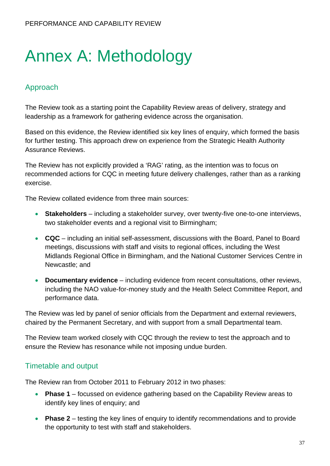# Annex A: Methodology

# Approach

The Review took as a starting point the Capability Review areas of delivery, strategy and leadership as a framework for gathering evidence across the organisation.

Based on this evidence, the Review identified six key lines of enquiry, which formed the basis for further testing. This approach drew on experience from the Strategic Health Authority Assurance Reviews.

The Review has not explicitly provided a 'RAG' rating, as the intention was to focus on recommended actions for CQC in meeting future delivery challenges, rather than as a ranking exercise.

The Review collated evidence from three main sources:

- **Stakeholders**  including a stakeholder survey, over twenty-five one-to-one interviews, two stakeholder events and a regional visit to Birmingham;
- **CQC** including an initial self-assessment, discussions with the Board, Panel to Board meetings, discussions with staff and visits to regional offices, including the West Midlands Regional Office in Birmingham, and the National Customer Services Centre in Newcastle; and
- **Documentary evidence** including evidence from recent consultations, other reviews, including the NAO value-for-money study and the Health Select Committee Report, and performance data.

The Review was led by panel of senior officials from the Department and external reviewers, chaired by the Permanent Secretary, and with support from a small Departmental team.

The Review team worked closely with CQC through the review to test the approach and to ensure the Review has resonance while not imposing undue burden.

# Timetable and output

The Review ran from October 2011 to February 2012 in two phases:

- **Phase 1** focussed on evidence gathering based on the Capability Review areas to identify key lines of enquiry; and
- **Phase 2** testing the key lines of enquiry to identify recommendations and to provide the opportunity to test with staff and stakeholders.